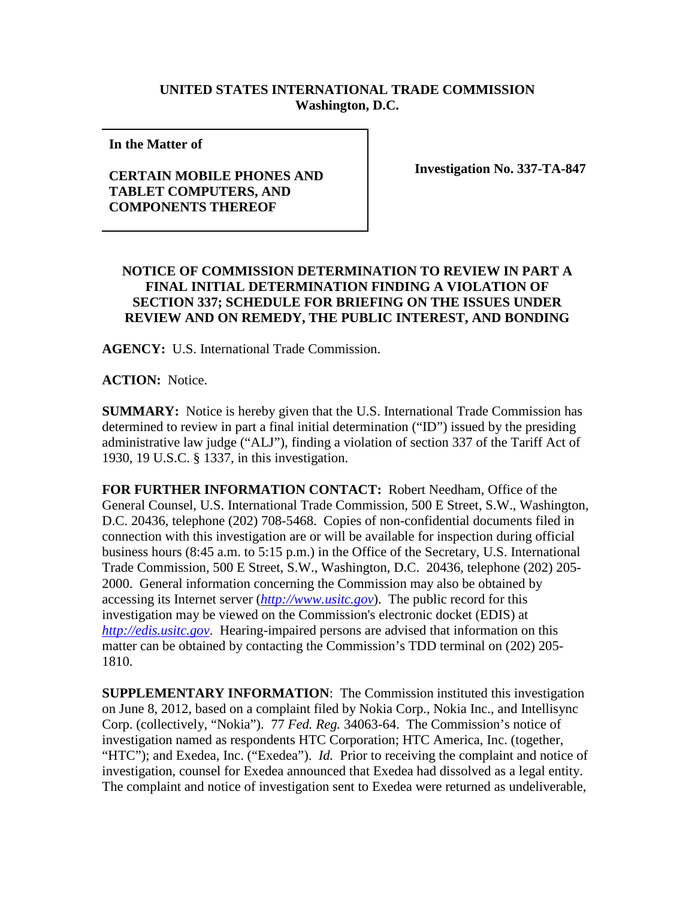## **UNITED STATES INTERNATIONAL TRADE COMMISSION Washington, D.C.**

**In the Matter of** 

## **CERTAIN MOBILE PHONES AND TABLET COMPUTERS, AND COMPONENTS THEREOF**

**Investigation No. 337-TA-847**

## **NOTICE OF COMMISSION DETERMINATION TO REVIEW IN PART A FINAL INITIAL DETERMINATION FINDING A VIOLATION OF SECTION 337; SCHEDULE FOR BRIEFING ON THE ISSUES UNDER REVIEW AND ON REMEDY, THE PUBLIC INTEREST, AND BONDING**

**AGENCY:** U.S. International Trade Commission.

**ACTION:** Notice.

**SUMMARY:** Notice is hereby given that the U.S. International Trade Commission has determined to review in part a final initial determination ("ID") issued by the presiding administrative law judge ("ALJ"), finding a violation of section 337 of the Tariff Act of 1930, 19 U.S.C. § 1337, in this investigation.

**FOR FURTHER INFORMATION CONTACT:** Robert Needham, Office of the General Counsel, U.S. International Trade Commission, 500 E Street, S.W., Washington, D.C. 20436, telephone (202) 708-5468. Copies of non-confidential documents filed in connection with this investigation are or will be available for inspection during official business hours (8:45 a.m. to 5:15 p.m.) in the Office of the Secretary, U.S. International Trade Commission, 500 E Street, S.W., Washington, D.C. 20436, telephone (202) 205- 2000. General information concerning the Commission may also be obtained by accessing its Internet server (*[http://www.usitc.gov](http://www.usitc.gov/)*). The public record for this investigation may be viewed on the Commission's electronic docket (EDIS) at *[http://edis.usitc.gov](http://edis.usitc.gov/)*. Hearing-impaired persons are advised that information on this matter can be obtained by contacting the Commission's TDD terminal on (202) 205- 1810.

**SUPPLEMENTARY INFORMATION**: The Commission instituted this investigation on June 8, 2012, based on a complaint filed by Nokia Corp., Nokia Inc., and Intellisync Corp. (collectively, "Nokia"). 77 *Fed. Reg.* 34063-64. The Commission's notice of investigation named as respondents HTC Corporation; HTC America, Inc. (together, "HTC"); and Exedea, Inc. ("Exedea"). *Id.* Prior to receiving the complaint and notice of investigation, counsel for Exedea announced that Exedea had dissolved as a legal entity. The complaint and notice of investigation sent to Exedea were returned as undeliverable,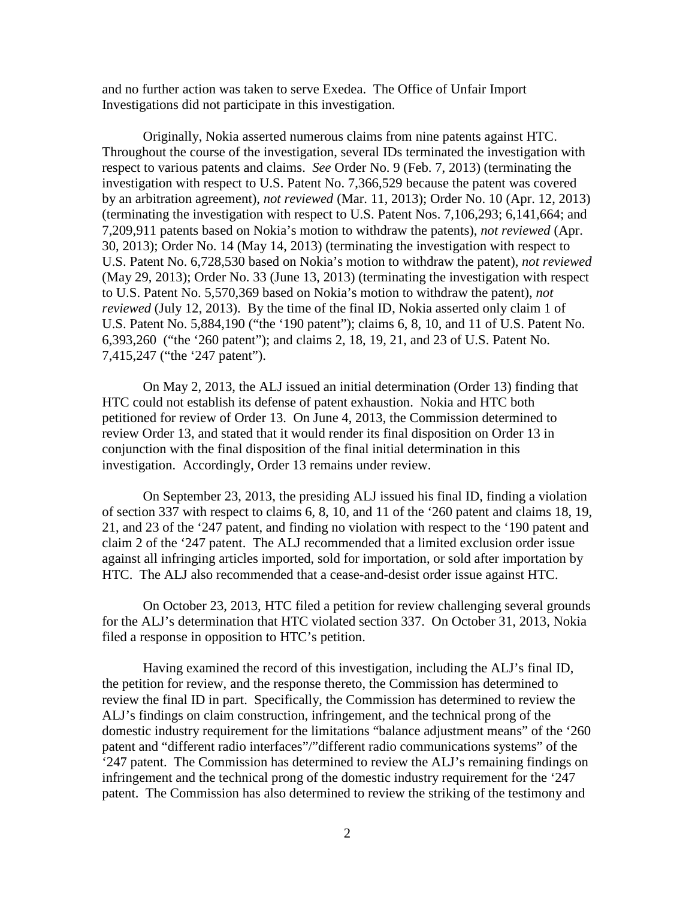and no further action was taken to serve Exedea. The Office of Unfair Import Investigations did not participate in this investigation.

Originally, Nokia asserted numerous claims from nine patents against HTC. Throughout the course of the investigation, several IDs terminated the investigation with respect to various patents and claims. *See* Order No. 9 (Feb. 7, 2013) (terminating the investigation with respect to U.S. Patent No. 7,366,529 because the patent was covered by an arbitration agreement), *not reviewed* (Mar. 11, 2013); Order No. 10 (Apr. 12, 2013) (terminating the investigation with respect to U.S. Patent Nos. 7,106,293; 6,141,664; and 7,209,911 patents based on Nokia's motion to withdraw the patents), *not reviewed* (Apr. 30, 2013); Order No. 14 (May 14, 2013) (terminating the investigation with respect to U.S. Patent No. 6,728,530 based on Nokia's motion to withdraw the patent), *not reviewed* (May 29, 2013); Order No. 33 (June 13, 2013) (terminating the investigation with respect to U.S. Patent No. 5,570,369 based on Nokia's motion to withdraw the patent), *not reviewed* (July 12, 2013). By the time of the final ID, Nokia asserted only claim 1 of U.S. Patent No. 5,884,190 ("the '190 patent"); claims 6, 8, 10, and 11 of U.S. Patent No. 6,393,260 ("the '260 patent"); and claims 2, 18, 19, 21, and 23 of U.S. Patent No. 7,415,247 ("the '247 patent").

On May 2, 2013, the ALJ issued an initial determination (Order 13) finding that HTC could not establish its defense of patent exhaustion. Nokia and HTC both petitioned for review of Order 13. On June 4, 2013, the Commission determined to review Order 13, and stated that it would render its final disposition on Order 13 in conjunction with the final disposition of the final initial determination in this investigation. Accordingly, Order 13 remains under review.

On September 23, 2013, the presiding ALJ issued his final ID, finding a violation of section 337 with respect to claims 6, 8, 10, and 11 of the '260 patent and claims 18, 19, 21, and 23 of the '247 patent, and finding no violation with respect to the '190 patent and claim 2 of the '247 patent. The ALJ recommended that a limited exclusion order issue against all infringing articles imported, sold for importation, or sold after importation by HTC. The ALJ also recommended that a cease-and-desist order issue against HTC.

On October 23, 2013, HTC filed a petition for review challenging several grounds for the ALJ's determination that HTC violated section 337. On October 31, 2013, Nokia filed a response in opposition to HTC's petition.

Having examined the record of this investigation, including the ALJ's final ID, the petition for review, and the response thereto, the Commission has determined to review the final ID in part. Specifically, the Commission has determined to review the ALJ's findings on claim construction, infringement, and the technical prong of the domestic industry requirement for the limitations "balance adjustment means" of the '260 patent and "different radio interfaces"/"different radio communications systems" of the '247 patent. The Commission has determined to review the ALJ's remaining findings on infringement and the technical prong of the domestic industry requirement for the '247 patent. The Commission has also determined to review the striking of the testimony and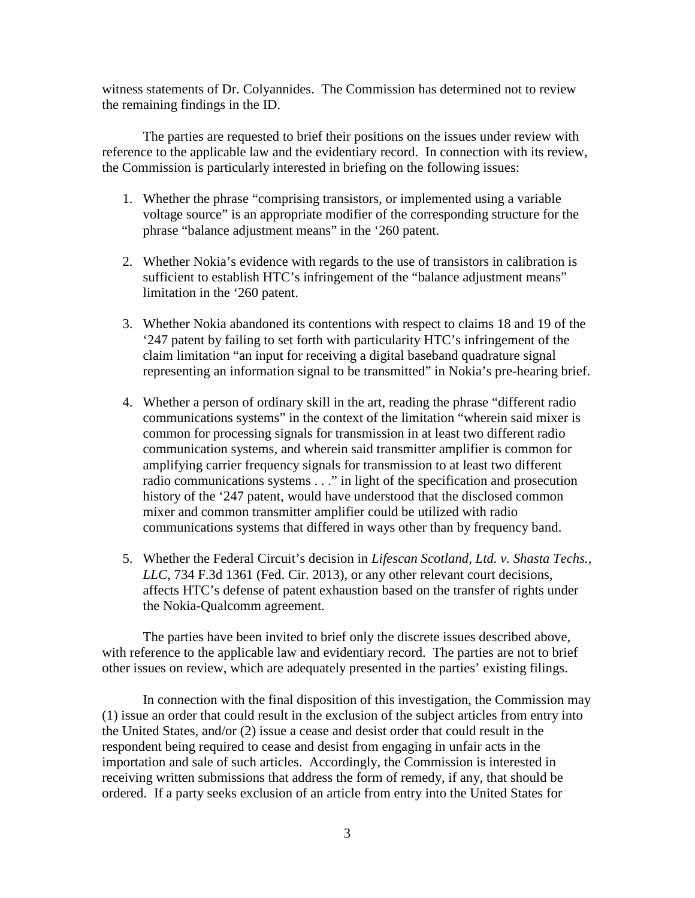witness statements of Dr. Colyannides. The Commission has determined not to review the remaining findings in the ID.

The parties are requested to brief their positions on the issues under review with reference to the applicable law and the evidentiary record. In connection with its review, the Commission is particularly interested in briefing on the following issues:

- 1. Whether the phrase "comprising transistors, or implemented using a variable voltage source" is an appropriate modifier of the corresponding structure for the phrase "balance adjustment means" in the '260 patent.
- 2. Whether Nokia's evidence with regards to the use of transistors in calibration is sufficient to establish HTC's infringement of the "balance adjustment means" limitation in the '260 patent.
- 3. Whether Nokia abandoned its contentions with respect to claims 18 and 19 of the '247 patent by failing to set forth with particularity HTC's infringement of the claim limitation "an input for receiving a digital baseband quadrature signal representing an information signal to be transmitted" in Nokia's pre-hearing brief.
- 4. Whether a person of ordinary skill in the art, reading the phrase "different radio communications systems" in the context of the limitation "wherein said mixer is common for processing signals for transmission in at least two different radio communication systems, and wherein said transmitter amplifier is common for amplifying carrier frequency signals for transmission to at least two different radio communications systems . . ." in light of the specification and prosecution history of the '247 patent, would have understood that the disclosed common mixer and common transmitter amplifier could be utilized with radio communications systems that differed in ways other than by frequency band.
- 5. Whether the Federal Circuit's decision in *Lifescan Scotland, Ltd. v. Shasta Techs., LLC*, 734 F.3d 1361 (Fed. Cir. 2013), or any other relevant court decisions, affects HTC's defense of patent exhaustion based on the transfer of rights under the Nokia-Qualcomm agreement.

The parties have been invited to brief only the discrete issues described above, with reference to the applicable law and evidentiary record. The parties are not to brief other issues on review, which are adequately presented in the parties' existing filings.

In connection with the final disposition of this investigation, the Commission may (1) issue an order that could result in the exclusion of the subject articles from entry into the United States, and/or (2) issue a cease and desist order that could result in the respondent being required to cease and desist from engaging in unfair acts in the importation and sale of such articles. Accordingly, the Commission is interested in receiving written submissions that address the form of remedy, if any, that should be ordered. If a party seeks exclusion of an article from entry into the United States for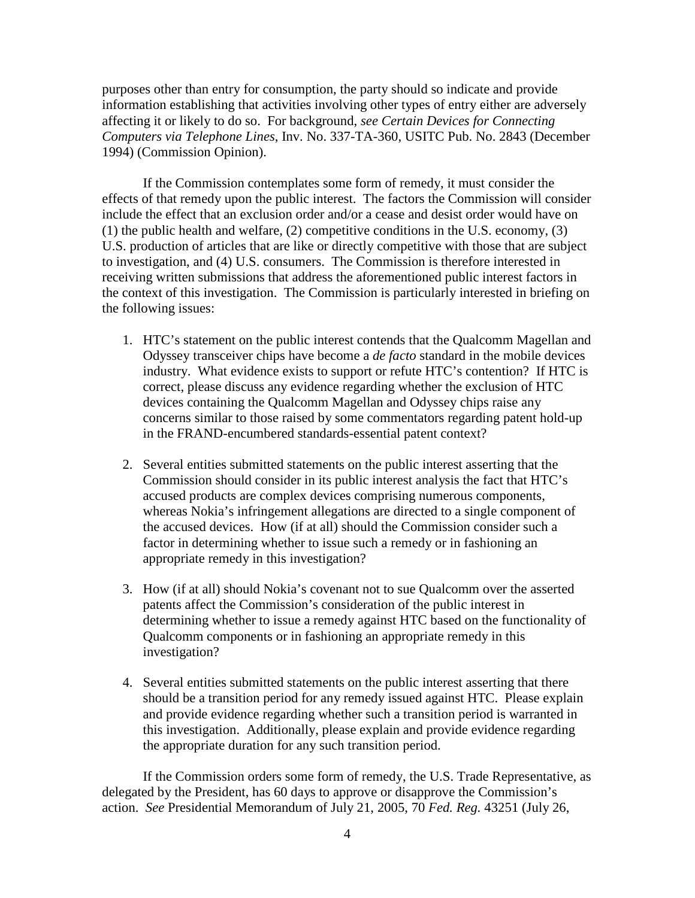purposes other than entry for consumption, the party should so indicate and provide information establishing that activities involving other types of entry either are adversely affecting it or likely to do so. For background, *see Certain Devices for Connecting Computers via Telephone Lines*, Inv. No. 337-TA-360, USITC Pub. No. 2843 (December 1994) (Commission Opinion).

If the Commission contemplates some form of remedy, it must consider the effects of that remedy upon the public interest. The factors the Commission will consider include the effect that an exclusion order and/or a cease and desist order would have on (1) the public health and welfare, (2) competitive conditions in the U.S. economy, (3) U.S. production of articles that are like or directly competitive with those that are subject to investigation, and (4) U.S. consumers. The Commission is therefore interested in receiving written submissions that address the aforementioned public interest factors in the context of this investigation. The Commission is particularly interested in briefing on the following issues:

- 1. HTC's statement on the public interest contends that the Qualcomm Magellan and Odyssey transceiver chips have become a *de facto* standard in the mobile devices industry. What evidence exists to support or refute HTC's contention? If HTC is correct, please discuss any evidence regarding whether the exclusion of HTC devices containing the Qualcomm Magellan and Odyssey chips raise any concerns similar to those raised by some commentators regarding patent hold-up in the FRAND-encumbered standards-essential patent context?
- 2. Several entities submitted statements on the public interest asserting that the Commission should consider in its public interest analysis the fact that HTC's accused products are complex devices comprising numerous components, whereas Nokia's infringement allegations are directed to a single component of the accused devices. How (if at all) should the Commission consider such a factor in determining whether to issue such a remedy or in fashioning an appropriate remedy in this investigation?
- 3. How (if at all) should Nokia's covenant not to sue Qualcomm over the asserted patents affect the Commission's consideration of the public interest in determining whether to issue a remedy against HTC based on the functionality of Qualcomm components or in fashioning an appropriate remedy in this investigation?
- 4. Several entities submitted statements on the public interest asserting that there should be a transition period for any remedy issued against HTC. Please explain and provide evidence regarding whether such a transition period is warranted in this investigation. Additionally, please explain and provide evidence regarding the appropriate duration for any such transition period.

If the Commission orders some form of remedy, the U.S. Trade Representative, as delegated by the President, has 60 days to approve or disapprove the Commission's action. *See* Presidential Memorandum of July 21, 2005, 70 *Fed. Reg.* 43251 (July 26,